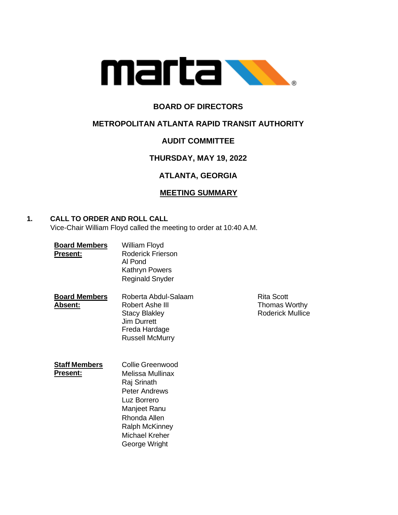

## **BOARD OF DIRECTORS**

## **METROPOLITAN ATLANTA RAPID TRANSIT AUTHORITY**

# **AUDIT COMMITTEE**

# **THURSDAY, MAY 19, 2022**

# **ATLANTA, GEORGIA**

## **MEETING SUMMARY**

**Rita Scott Thomas Worthy** Roderick Mullice

## **1. CALL TO ORDER AND ROLL CALL**

Vice-Chair William Floyd called the meeting to order at 10:40 A.M.

| <b>Board Members</b><br><b>Present:</b> | William Floyd<br>Roderick Frierson<br>Al Pond<br>Kathryn Powers<br><b>Reginald Snyder</b>                                                                                              |
|-----------------------------------------|----------------------------------------------------------------------------------------------------------------------------------------------------------------------------------------|
| <b>Board Members</b><br><u> Absent:</u> | Roberta Abdul-Salaam<br>Robert Ashe III<br><b>Stacy Blakley</b><br><b>Jim Durrett</b><br>Freda Hardage<br><b>Russell McMurry</b>                                                       |
| <b>Staff Members</b><br>Present:        | Collie Greenwood<br>Melissa Mullinax<br>Raj Srinath<br><b>Peter Andrews</b><br>Luz Borrero<br>Manjeet Ranu<br>Rhonda Allen<br><b>Ralph McKinney</b><br>Michael Kreher<br>George Wright |